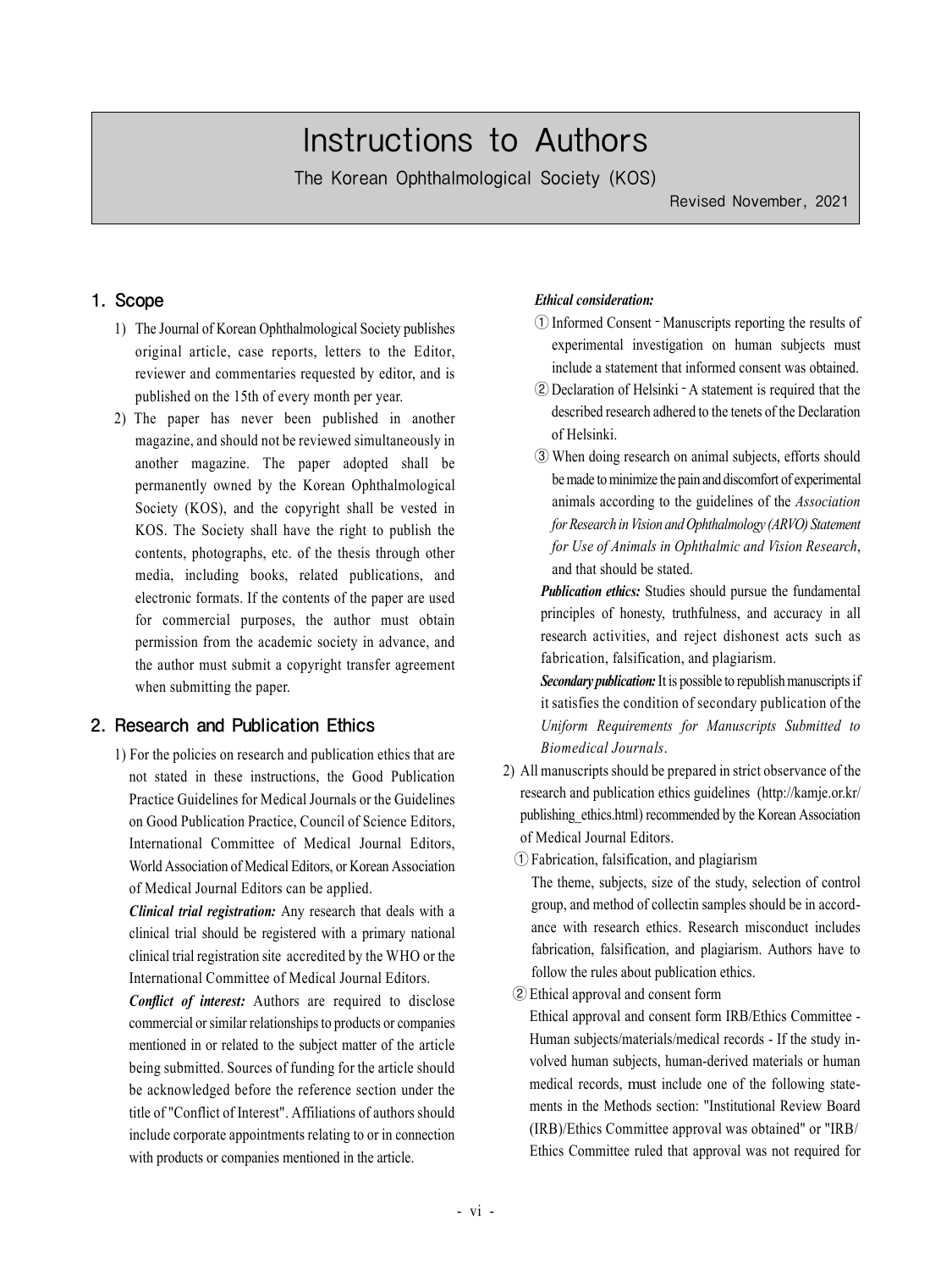# Instructions to Authors

The Korean Ophthalmological Society (KOS)

Revised November, 2021

#### 1. Scope

- 1) The Journal of Korean Ophthalmological Society publishes original article, case reports, letters to the Editor, reviewer and commentaries requested by editor, and is published on the 15th of every month per year.
- 2) The paper has never been published in another magazine, and should not be reviewed simultaneously in another magazine. The paper adopted shall be permanently owned by the Korean Ophthalmological Society (KOS), and the copyright shall be vested in KOS. The Society shall have the right to publish the contents, photographs, etc. of the thesis through other media, including books, related publications, and electronic formats. If the contents of the paper are used for commercial purposes, the author must obtain permission from the academic society in advance, and the author must submit a copyright transfer agreement when submitting the paper.

#### 2. Research and Publication Ethics

1) For the policies on research and publication ethics that are not stated in these instructions, the Good Publication Practice Guidelines for Medical Journals or the Guidelines on Good Publication Practice, Council of Science Editors, International Committee of Medical Journal Editors, World Association of Medical Editors, or Korean Association of Medical Journal Editors can be applied.

*Clinical trial registration:* Any research that deals with a clinical trial should be registered with a primary national clinical trial registration site accredited by the WHO or the International Committee of Medical Journal Editors.

*Conflict of interest:* Authors are required to disclose commercial or similar relationships to products or companies mentioned in or related to the subject matter of the article being submitted. Sources of funding for the article should be acknowledged before the reference section under the title of "Conflict of Interest". Affiliations of authors should include corporate appointments relating to or in connection with products or companies mentioned in the article.

#### *Ethical consideration:*

- ① Informed Consent ‐ Manuscripts reporting the results of experimental investigation on human subjects must include a statement that informed consent was obtained.
- ② Declaration of Helsinki ‐ A statement is required that the described research adhered to the tenets of the Declaration of Helsinki.
- ③ When doing research on animal subjects, efforts should be made to minimize the pain and discomfort of experimental animals according to the guidelines of the *Association for Research in Vision and Ophthalmology (ARVO) Statement for Use of Animals in Ophthalmic and Vision Research*, and that should be stated.

*Publication ethics:* Studies should pursue the fundamental principles of honesty, truthfulness, and accuracy in all research activities, and reject dishonest acts such as fabrication, falsification, and plagiarism.

*Secondary publication:* It is possible to republish manuscripts if it satisfies the condition of secondary publication of the *Uniform Requirements for Manuscripts Submitted to Biomedical Journals*.

- 2) All manuscripts should be prepared in strict observance of the research and publication ethics guidelines (http://kamje.or.kr/ publishing\_ethics.html) recommended by the Korean Association of Medical Journal Editors.
	- ① Fabrication, falsification, and plagiarism

The theme, subjects, size of the study, selection of control group, and method of collectin samples should be in accordance with research ethics. Research misconduct includes fabrication, falsification, and plagiarism. Authors have to follow the rules about publication ethics.

② Ethical approval and consent form

Ethical approval and consent form IRB/Ethics Committee - Human subjects/materials/medical records - If the study involved human subjects, human-derived materials or human medical records, must include one of the following statements in the Methods section: "Institutional Review Board (IRB)/Ethics Committee approval was obtained" or "IRB/ Ethics Committee ruled that approval was not required for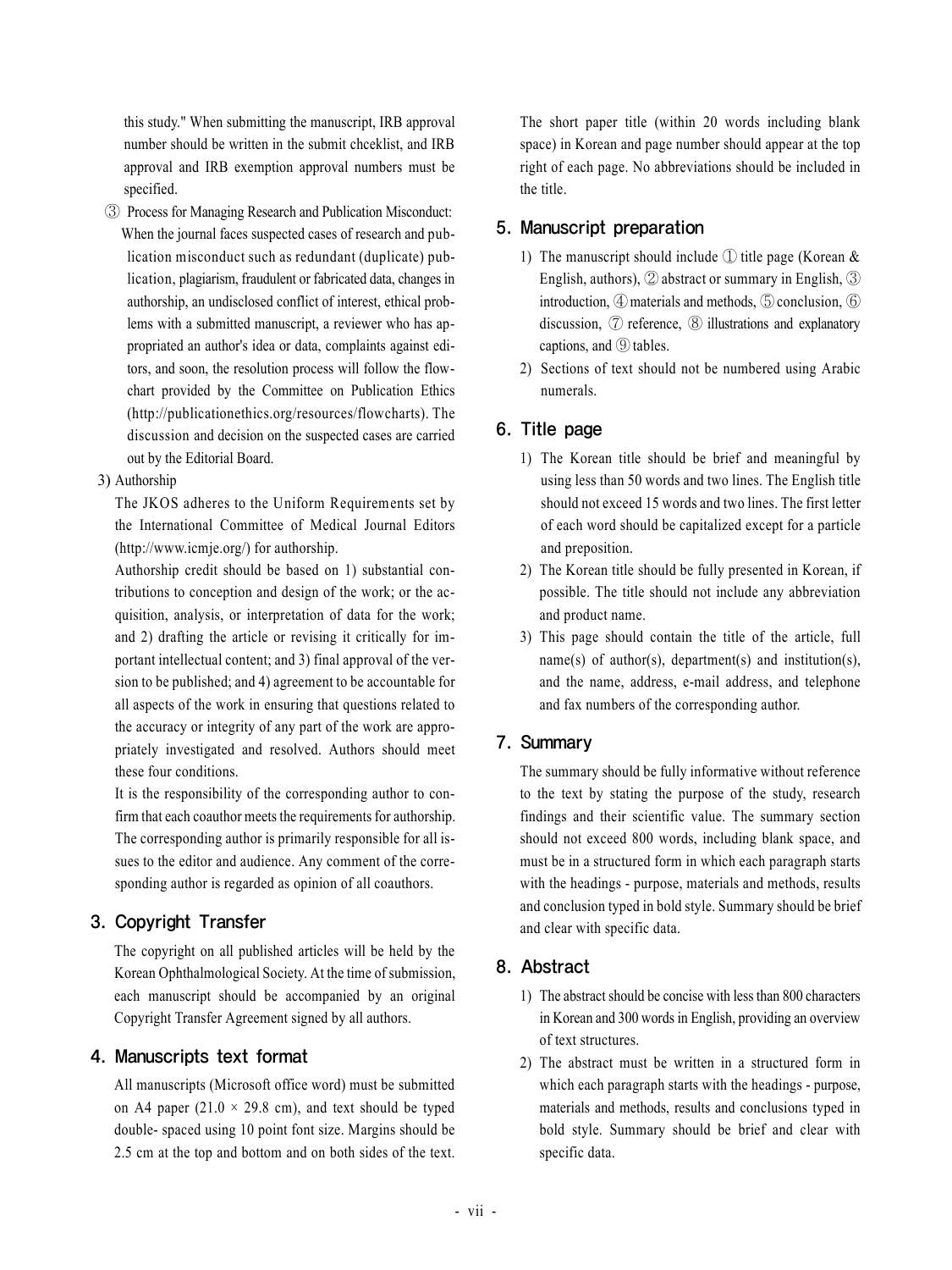this study." When submitting the manuscript, IRB approval number should be written in the submit chceklist, and IRB approval and IRB exemption approval numbers must be specified.

- ③ Process for Managing Research and Publication Misconduct: When the journal faces suspected cases of research and publication misconduct such as redundant (duplicate) publication, plagiarism, fraudulent or fabricated data, changes in authorship, an undisclosed conflict of interest, ethical problems with a submitted manuscript, a reviewer who has appropriated an author's idea or data, complaints against editors, and soon, the resolution process will follow the flowchart provided by the Committee on Publication Ethics (http://publicationethics.org/resources/flowcharts). The discussion and decision on the suspected cases are carried out by the Editorial Board.
- 3) Authorship

The JKOS adheres to the Uniform Requirements set by the International Committee of Medical Journal Editors (http://www.icmje.org/) for authorship.

Authorship credit should be based on 1) substantial contributions to conception and design of the work; or the acquisition, analysis, or interpretation of data for the work; and 2) drafting the article or revising it critically for important intellectual content; and 3) final approval of the version to be published; and 4) agreement to be accountable for all aspects of the work in ensuring that questions related to the accuracy or integrity of any part of the work are appropriately investigated and resolved. Authors should meet these four conditions.

It is the responsibility of the corresponding author to confirm that each coauthor meets the requirements for authorship. The corresponding author is primarily responsible for all issues to the editor and audience. Any comment of the corresponding author is regarded as opinion of all coauthors.

## 3. Copyright Transfer

The copyright on all published articles will be held by the Korean Ophthalmological Society. At the time of submission, each manuscript should be accompanied by an original Copyright Transfer Agreement signed by all authors.

#### 4. Manuscripts text format

All manuscripts (Microsoft office word) must be submitted on A4 paper (21.0  $\times$  29.8 cm), and text should be typed double- spaced using 10 point font size. Margins should be 2.5 cm at the top and bottom and on both sides of the text.

The short paper title (within 20 words including blank space) in Korean and page number should appear at the top right of each page. No abbreviations should be included in the title.

#### 5. Manuscript preparation

- 1) The manuscript should include  $\Omega$  title page (Korean & English, authors), ② abstract or summary in English, ③ introduction, ④ materials and methods, ⑤ conclusion, ⑥ discussion,  $\oslash$  reference,  $\oslash$  illustrations and explanatory captions, and ⑨ tables.
- 2) Sections of text should not be numbered using Arabic numerals.

## 6. Title page

- 1) The Korean title should be brief and meaningful by using less than 50 words and two lines. The English title should not exceed 15 words and two lines. The first letter of each word should be capitalized except for a particle and preposition.
- 2) The Korean title should be fully presented in Korean, if possible. The title should not include any abbreviation and product name.
- 3) This page should contain the title of the article, full name(s) of author(s), department(s) and institution(s), and the name, address, e-mail address, and telephone and fax numbers of the corresponding author.

#### 7. Summary

The summary should be fully informative without reference to the text by stating the purpose of the study, research findings and their scientific value. The summary section should not exceed 800 words, including blank space, and must be in a structured form in which each paragraph starts with the headings - purpose, materials and methods, results and conclusion typed in bold style. Summary should be brief and clear with specific data.

## 8. Abstract

- 1) The abstract should be concise with less than 800 characters in Korean and 300 words in English, providing an overview of text structures.
- 2) The abstract must be written in a structured form in which each paragraph starts with the headings - purpose, materials and methods, results and conclusions typed in bold style. Summary should be brief and clear with specific data.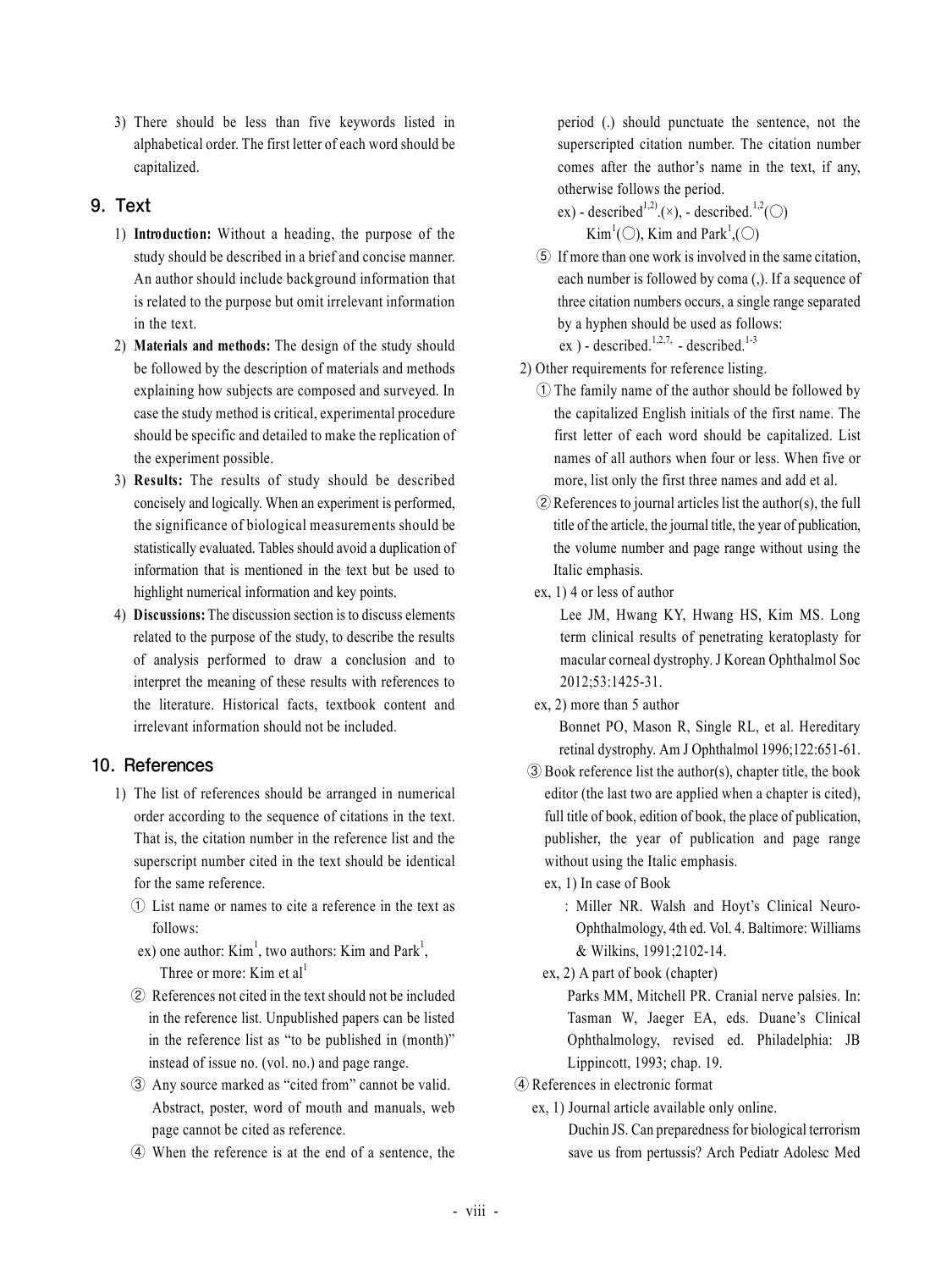3) There should be less than five keywords listed in alphabetical order. The first letter of each word should be capitalized.

## 9. Text

- 1) **Introduction:** Without a heading, the purpose of the study should be described in a brief and concise manner. An author should include background information that is related to the purpose but omit irrelevant information in the text.
- 2) **Materials and methods:** The design of the study should be followed by the description of materials and methods explaining how subjects are composed and surveyed. In case the study method is critical, experimental procedure should be specific and detailed to make the replication of the experiment possible.
- 3) **Results:** The results of study should be described concisely and logically. When an experiment is performed, the significance of biological measurements should be statistically evaluated. Tables should avoid a duplication of information that is mentioned in the text but be used to highlight numerical information and key points.
- 4) **Discussions:** The discussion section is to discuss elements related to the purpose of the study, to describe the results of analysis performed to draw a conclusion and to interpret the meaning of these results with references to the literature. Historical facts, textbook content and irrelevant information should not be included.

#### 10. References

- 1) The list of references should be arranged in numerical order according to the sequence of citations in the text. That is, the citation number in the reference list and the superscript number cited in the text should be identical for the same reference.
	- ① List name or names to cite a reference in the text as follows:
	- ex) one author:  $\text{Kim}^1$ , two authors: Kim and Park<sup>1</sup>, Three or more: Kim et  $al<sup>1</sup>$
	- ② References not cited in the text should not be included in the reference list. Unpublished papers can be listed in the reference list as "to be published in (month)" instead of issue no. (vol. no.) and page range.
	- ③ Any source marked as "cited from" cannot be valid. Abstract, poster, word of mouth and manuals, web page cannot be cited as reference.
	- ④ When the reference is at the end of a sentence, the

period (.) should punctuate the sentence, not the superscripted citation number. The citation number comes after the author's name in the text, if any, otherwise follows the period.

ex) - described<sup>1,2</sup> $(\times)$ , - described.<sup>1,2</sup>(○)  $\text{Kim}^1(\bigcirc)$ , Kim and Park<sup>1</sup>,( $\bigcirc$ )

⑤ If more than one work is involved in the same citation, each number is followed by coma (,). If a sequence of three citation numbers occurs, a single range separated by a hyphen should be used as follows: ex ) - described.<sup>1,2,7,</sup> - described.<sup>1-3</sup>

2) Other requirements for reference listing.

- ① The family name of the author should be followed by the capitalized English initials of the first name. The first letter of each word should be capitalized. List names of all authors when four or less. When five or more, list only the first three names and add et al.
- ② References to journal articles list the author(s), the full title of the article, the journal title, the year of publication, the volume number and page range without using the Italic emphasis.
- ex, 1) 4 or less of author

Lee JM, Hwang KY, Hwang HS, Kim MS. Long term clinical results of penetrating keratoplasty for macular corneal dystrophy. J Korean Ophthalmol Soc 2012;53:1425-31.

ex, 2) more than 5 author

Bonnet PO, Mason R, Single RL, et al. Hereditary retinal dystrophy. Am J Ophthalmol 1996;122:651-61.

- ③ Book reference list the author(s), chapter title, the book editor (the last two are applied when a chapter is cited), full title of book, edition of book, the place of publication, publisher, the year of publication and page range without using the Italic emphasis.
	- ex, 1) In case of Book
		- : Miller NR. Walsh and Hoyt's Clinical Neuro-Ophthalmology, 4th ed. Vol. 4. Baltimore: Williams & Wilkins, 1991;2102-14.
	- ex, 2) A part of book (chapter)

Parks MM, Mitchell PR. Cranial nerve palsies. In: Tasman W, Jaeger EA, eds. Duane's Clinical Ophthalmology, revised ed. Philadelphia: JB Lippincott, 1993; chap. 19.

④ References in electronic format

```
 ex, 1) Journal article available only online.
```
Duchin JS. Can preparedness for biological terrorism save us from pertussis? Arch Pediatr Adolesc Med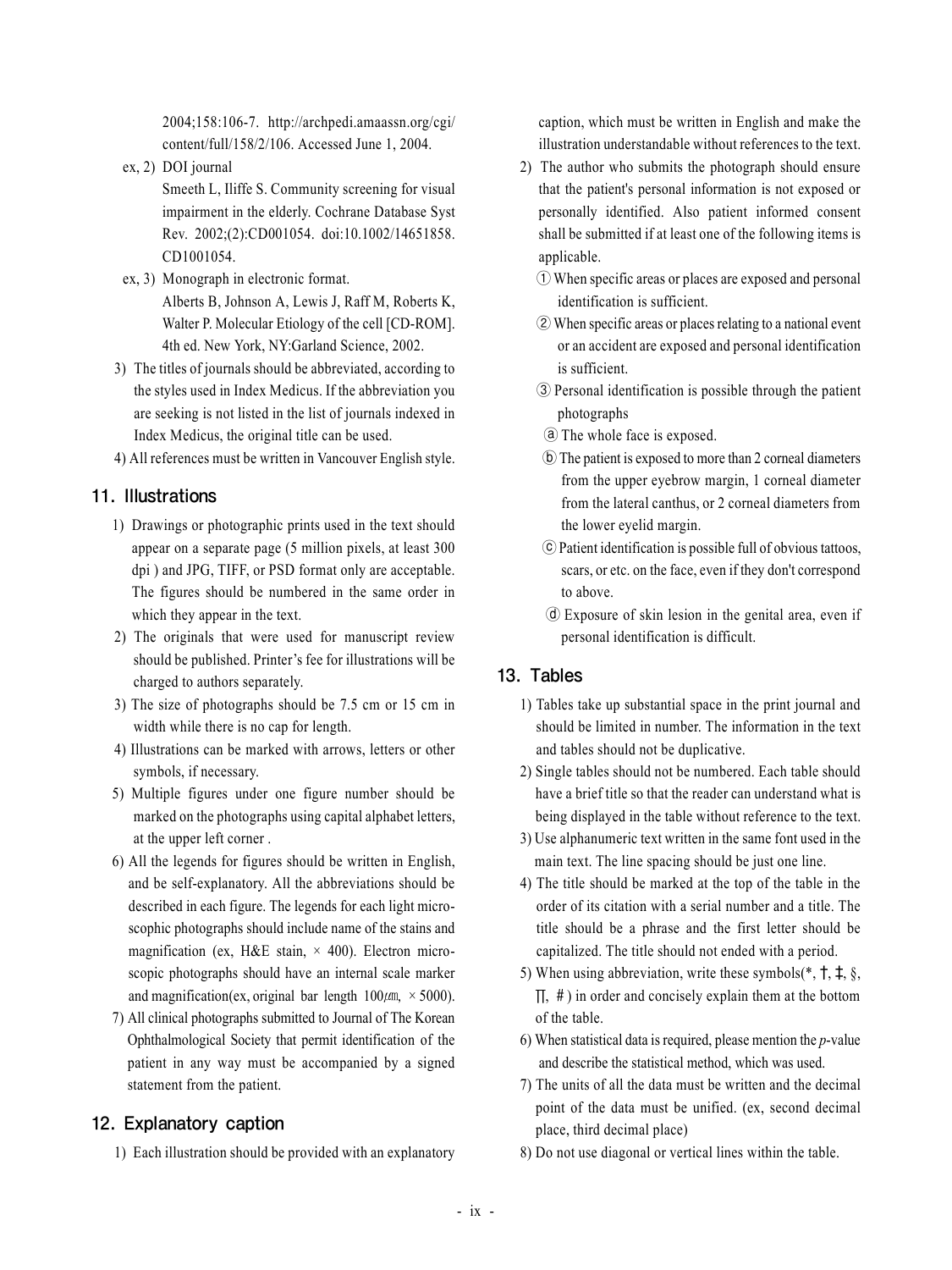2004;158:106-7. http://archpedi.amaassn.org/cgi/ content/full/158/2/106. Accessed June 1, 2004.

ex, 2) DOI journal

Smeeth L, Iliffe S. Community screening for visual impairment in the elderly. Cochrane Database Syst Rev. 2002;(2):CD001054. doi:10.1002/14651858. CD1001054.

- ex, 3) Monograph in electronic format.
	- Alberts B, Johnson A, Lewis J, Raff M, Roberts K, Walter P. Molecular Etiology of the cell [CD-ROM]. 4th ed. New York, NY:Garland Science, 2002.
- 3) The titles of journals should be abbreviated, according to the styles used in Index Medicus. If the abbreviation you are seeking is not listed in the list of journals indexed in Index Medicus, the original title can be used.
- 4) All references must be written in Vancouver English style.

## 11. Illustrations

- 1) Drawings or photographic prints used in the text should appear on a separate page (5 million pixels, at least 300 dpi ) and JPG, TIFF, or PSD format only are acceptable. The figures should be numbered in the same order in which they appear in the text.
- 2) The originals that were used for manuscript review should be published. Printer's fee for illustrations will be charged to authors separately.
- 3) The size of photographs should be 7.5 cm or 15 cm in width while there is no cap for length.
- 4) Illustrations can be marked with arrows, letters or other symbols, if necessary.
- 5) Multiple figures under one figure number should be marked on the photographs using capital alphabet letters, at the upper left corner .
- 6) All the legends for figures should be written in English, and be self-explanatory. All the abbreviations should be described in each figure. The legends for each light microscophic photographs should include name of the stains and magnification (ex, H&E stain,  $\times$  400). Electron microscopic photographs should have an internal scale marker and magnification(ex, original bar length  $100 \mu m$ ,  $\times$  5000).
- 7) All clinical photographs submitted to Journal of The Korean Ophthalmological Society that permit identification of the patient in any way must be accompanied by a signed statement from the patient.

## 12. Explanatory caption

1) Each illustration should be provided with an explanatory

caption, which must be written in English and make the illustration understandable without references to the text.

- 2) The author who submits the photograph should ensure that the patient's personal information is not exposed or personally identified. Also patient informed consent shall be submitted if at least one of the following items is applicable.
	- ① When specific areas or places are exposed and personal identification is sufficient.
	- ② When specific areas or places relating to a national event or an accident are exposed and personal identification is sufficient.
	- ③ Personal identification is possible through the patient photographs
	- ⓐ The whole face is exposed.
	- ⓑ The patient is exposed to more than 2 corneal diameters from the upper eyebrow margin, 1 corneal diameter from the lateral canthus, or 2 corneal diameters from the lower eyelid margin.
	- ⓒ Patient identification is possible full of obvious tattoos, scars, or etc. on the face, even if they don't correspond to above.
	- ⓓ Exposure of skin lesion in the genital area, even if personal identification is difficult.

## 13. Tables

- 1) Tables take up substantial space in the print journal and should be limited in number. The information in the text and tables should not be duplicative.
- 2) Single tables should not be numbered. Each table should have a brief title so that the reader can understand what is being displayed in the table without reference to the text.
- 3) Use alphanumeric text written in the same font used in the main text. The line spacing should be just one line.
- 4) The title should be marked at the top of the table in the order of its citation with a serial number and a title. The title should be a phrase and the first letter should be capitalized. The title should not ended with a period.
- 5) When using abbreviation, write these symbols( $*, \dagger, \dagger, \S$ ,  $\Pi$ , #) in order and concisely explain them at the bottom of the table.
- 6) When statistical data is required, please mention the *p*-value and describe the statistical method, which was used.
- 7) The units of all the data must be written and the decimal point of the data must be unified. (ex, second decimal place, third decimal place)
- 8) Do not use diagonal or vertical lines within the table.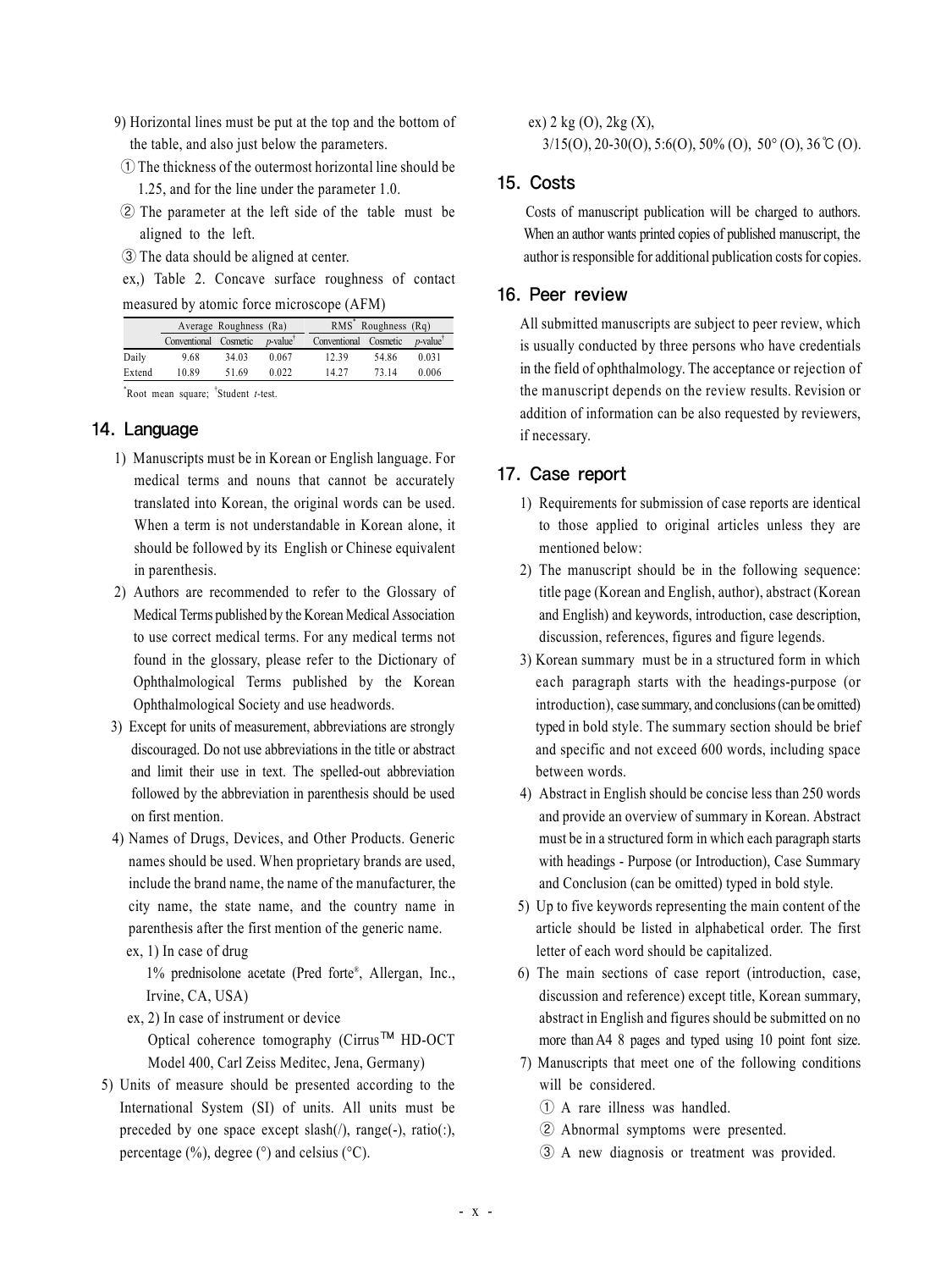- 9) Horizontal lines must be put at the top and the bottom of the table, and also just below the parameters.
- ① The thickness of the outermost horizontal line should be 1.25, and for the line under the parameter 1.0.
- ② The parameter at the left side of the table must be aligned to the left.
- ③ The data should be aligned at center.

ex,) Table 2. Concave surface roughness of contact

| measured by atomic force microscope (AFM) |  |  |  |  |  |  |  |
|-------------------------------------------|--|--|--|--|--|--|--|
|-------------------------------------------|--|--|--|--|--|--|--|

|        | Average Roughness (Ra) |       |            | $RMS^*$ Roughness $(Rq)$ |       |            |
|--------|------------------------|-------|------------|--------------------------|-------|------------|
|        | Conventional Cosmetic  |       | $p$ -value | Conventional Cosmetic    |       | $p$ -value |
| Daily  | 9.68                   | 34.03 | 0.067      | 12.39                    | 54.86 | 0.031      |
| Extend | 10.89                  | 51.69 | 0.022      | 14.27                    | 73.14 | 0.006      |
|        |                        |       |            |                          |       |            |

\* Root mean square; † Student *t*-test.

## 14. Language

- 1) Manuscripts must be in Korean or English language. For medical terms and nouns that cannot be accurately translated into Korean, the original words can be used. When a term is not understandable in Korean alone, it should be followed by its English or Chinese equivalent in parenthesis.
- 2) Authors are recommended to refer to the Glossary of Medical Terms published by the Korean Medical Association to use correct medical terms. For any medical terms not found in the glossary, please refer to the Dictionary of Ophthalmological Terms published by the Korean Ophthalmological Society and use headwords.
- 3) Except for units of measurement, abbreviations are strongly discouraged. Do not use abbreviations in the title or abstract and limit their use in text. The spelled-out abbreviation followed by the abbreviation in parenthesis should be used on first mention.
- 4) Names of Drugs, Devices, and Other Products. Generic names should be used. When proprietary brands are used, include the brand name, the name of the manufacturer, the city name, the state name, and the country name in parenthesis after the first mention of the generic name. ex, 1) In case of drug

 1% prednisolone acetate (Pred forte® , Allergan, Inc., Irvine, CA, USA)

ex, 2) In case of instrument or device

Optical coherence tomography (Cirrus™ HD-OCT Model 400, Carl Zeiss Meditec, Jena, Germany)

 5) Units of measure should be presented according to the International System (SI) of units. All units must be preceded by one space except  $slash(), range(-), ratio(.),$ percentage  $(\%)$ , degree  $(\degree)$  and celsius  $(\degree C)$ .

ex) 2 kg (O), 2kg (X),

 $3/15(0)$ ,  $20-30(0)$ ,  $5.6(0)$ ,  $50\%$  (O),  $50\degree$  (O),  $36\degree$  (O).

#### 15. Costs

 Costs of manuscript publication will be charged to authors. When an author wants printed copies of published manuscript, the author is responsible for additional publication costs for copies.

#### 16. Peer review

All submitted manuscripts are subject to peer review, which is usually conducted by three persons who have credentials in the field of ophthalmology. The acceptance or rejection of the manuscript depends on the review results. Revision or addition of information can be also requested by reviewers, if necessary.

## 17. Case report

- 1) Requirements for submission of case reports are identical to those applied to original articles unless they are mentioned below:
- 2) The manuscript should be in the following sequence: title page (Korean and English, author), abstract (Korean and English) and keywords, introduction, case description, discussion, references, figures and figure legends.
- 3) Korean summary must be in a structured form in which each paragraph starts with the headings-purpose (or introduction), case summary, and conclusions (can be omitted) typed in bold style. The summary section should be brief and specific and not exceed 600 words, including space between words.
- 4) Abstract in English should be concise less than 250 words and provide an overview of summary in Korean. Abstract must be in a structured form in which each paragraph starts with headings - Purpose (or Introduction), Case Summary and Conclusion (can be omitted) typed in bold style.
- 5) Up to five keywords representing the main content of the article should be listed in alphabetical order. The first letter of each word should be capitalized.
- 6) The main sections of case report (introduction, case, discussion and reference) except title, Korean summary, abstract in English and figures should be submitted on no more than A4 8 pages and typed using 10 point font size.
- 7) Manuscripts that meet one of the following conditions will be considered.
	- ① A rare illness was handled.
	- ② Abnormal symptoms were presented.
	- ③ A new diagnosis or treatment was provided.